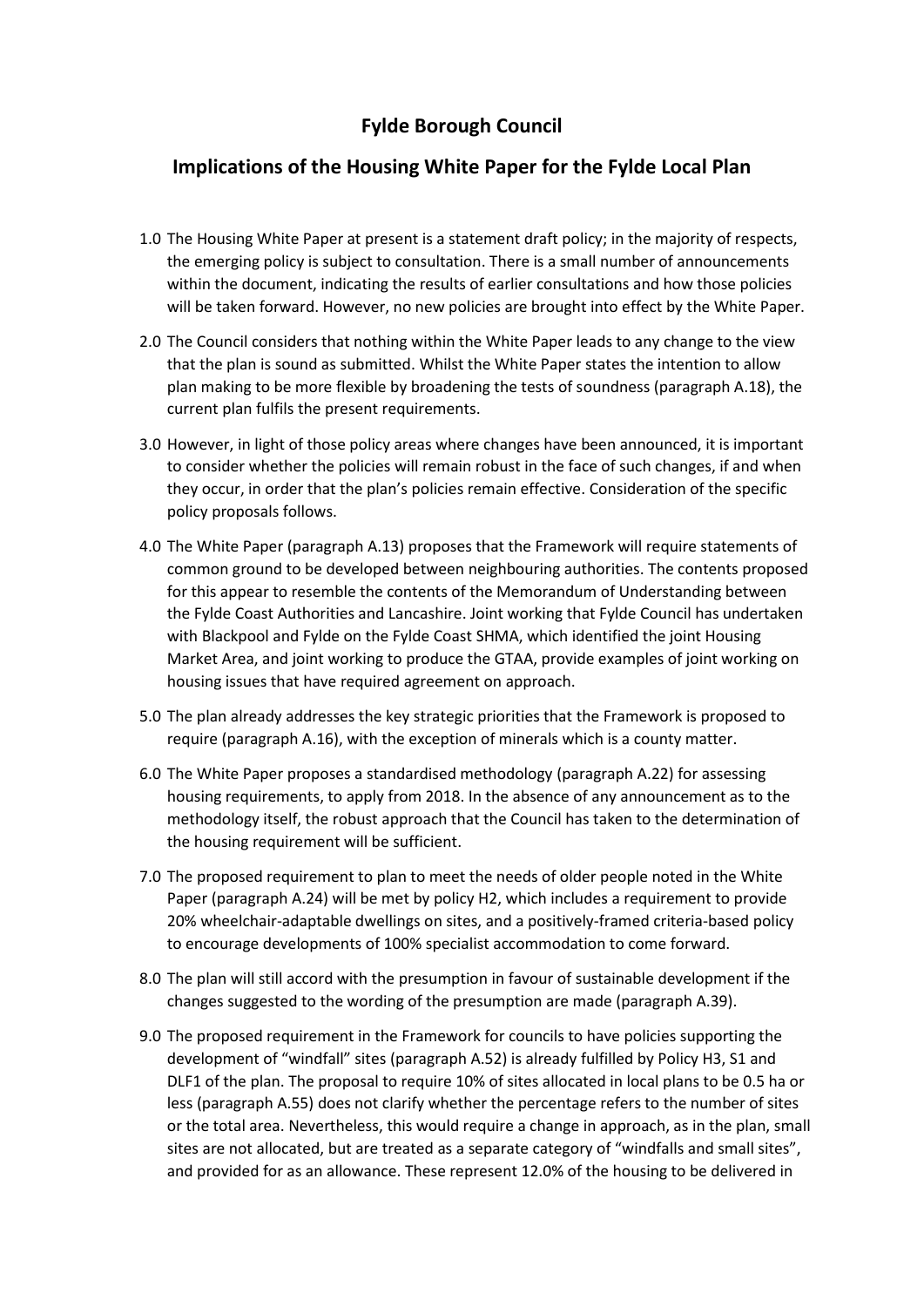## **Fylde Borough Council**

## **Implications of the Housing White Paper for the Fylde Local Plan**

- 1.0 The Housing White Paper at present is a statement draft policy; in the majority of respects, the emerging policy is subject to consultation. There is a small number of announcements within the document, indicating the results of earlier consultations and how those policies will be taken forward. However, no new policies are brought into effect by the White Paper.
- 2.0 The Council considers that nothing within the White Paper leads to any change to the view that the plan is sound as submitted. Whilst the White Paper states the intention to allow plan making to be more flexible by broadening the tests of soundness (paragraph A.18), the current plan fulfils the present requirements.
- 3.0 However, in light of those policy areas where changes have been announced, it is important to consider whether the policies will remain robust in the face of such changes, if and when they occur, in order that the plan's policies remain effective. Consideration of the specific policy proposals follows.
- 4.0 The White Paper (paragraph A.13) proposes that the Framework will require statements of common ground to be developed between neighbouring authorities. The contents proposed for this appear to resemble the contents of the Memorandum of Understanding between the Fylde Coast Authorities and Lancashire. Joint working that Fylde Council has undertaken with Blackpool and Fylde on the Fylde Coast SHMA, which identified the joint Housing Market Area, and joint working to produce the GTAA, provide examples of joint working on housing issues that have required agreement on approach.
- 5.0 The plan already addresses the key strategic priorities that the Framework is proposed to require (paragraph A.16), with the exception of minerals which is a county matter.
- 6.0 The White Paper proposes a standardised methodology (paragraph A.22) for assessing housing requirements, to apply from 2018. In the absence of any announcement as to the methodology itself, the robust approach that the Council has taken to the determination of the housing requirement will be sufficient.
- 7.0 The proposed requirement to plan to meet the needs of older people noted in the White Paper (paragraph A.24) will be met by policy H2, which includes a requirement to provide 20% wheelchair-adaptable dwellings on sites, and a positively-framed criteria-based policy to encourage developments of 100% specialist accommodation to come forward.
- 8.0 The plan will still accord with the presumption in favour of sustainable development if the changes suggested to the wording of the presumption are made (paragraph A.39).
- 9.0 The proposed requirement in the Framework for councils to have policies supporting the development of "windfall" sites (paragraph A.52) is already fulfilled by Policy H3, S1 and DLF1 of the plan. The proposal to require 10% of sites allocated in local plans to be 0.5 ha or less (paragraph A.55) does not clarify whether the percentage refers to the number of sites or the total area. Nevertheless, this would require a change in approach, as in the plan, small sites are not allocated, but are treated as a separate category of "windfalls and small sites", and provided for as an allowance. These represent 12.0% of the housing to be delivered in